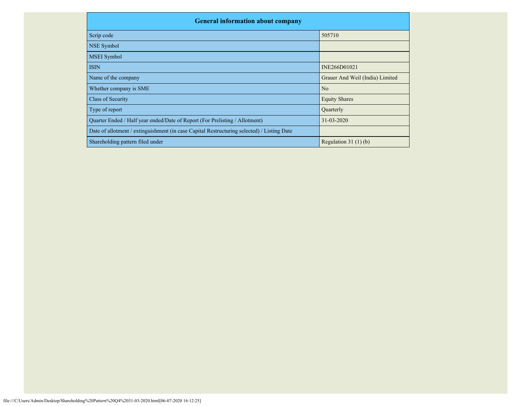| <b>General information about company</b>                                                   |                                 |
|--------------------------------------------------------------------------------------------|---------------------------------|
| Scrip code                                                                                 | 505710                          |
| <b>NSE Symbol</b>                                                                          |                                 |
| <b>MSEI</b> Symbol                                                                         |                                 |
| <b>ISIN</b>                                                                                | INE266D01021                    |
| Name of the company                                                                        | Grauer And Weil (India) Limited |
| Whether company is SME                                                                     | N <sub>o</sub>                  |
| <b>Class of Security</b>                                                                   | <b>Equity Shares</b>            |
| Type of report                                                                             | Quarterly                       |
| Quarter Ended / Half year ended/Date of Report (For Prelisting / Allotment)                | $31 - 03 - 2020$                |
| Date of allotment / extinguishment (in case Capital Restructuring selected) / Listing Date |                                 |
| Shareholding pattern filed under                                                           | Regulation $31(1)(b)$           |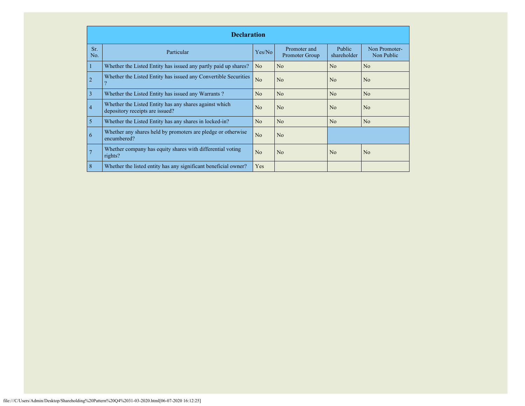|            | <b>Declaration</b>                                                                        |                |                                |                              |                             |  |  |  |
|------------|-------------------------------------------------------------------------------------------|----------------|--------------------------------|------------------------------|-----------------------------|--|--|--|
| Sr.<br>No. | Particular                                                                                | Yes/No         | Promoter and<br>Promoter Group | <b>Public</b><br>shareholder | Non Promoter-<br>Non Public |  |  |  |
|            | Whether the Listed Entity has issued any partly paid up shares?                           | N <sub>o</sub> | No                             | No                           | N <sub>o</sub>              |  |  |  |
| 2          | Whether the Listed Entity has issued any Convertible Securities                           | N <sub>o</sub> | N <sub>o</sub>                 | No                           | N <sub>o</sub>              |  |  |  |
| 3          | Whether the Listed Entity has issued any Warrants?                                        | No             | N <sub>o</sub>                 | No                           | N <sub>o</sub>              |  |  |  |
| 4          | Whether the Listed Entity has any shares against which<br>depository receipts are issued? | No.            | N <sub>o</sub>                 | No                           | N <sub>o</sub>              |  |  |  |
| 5          | Whether the Listed Entity has any shares in locked-in?                                    | No.            | N <sub>o</sub>                 | N <sub>o</sub>               | N <sub>o</sub>              |  |  |  |
| 6          | Whether any shares held by promoters are pledge or otherwise<br>encumbered?               | N <sub>o</sub> | N <sub>o</sub>                 |                              |                             |  |  |  |
|            | Whether company has equity shares with differential voting<br>rights?                     | N <sub>0</sub> | N <sub>o</sub>                 | N <sub>0</sub>               | N <sub>o</sub>              |  |  |  |
| 8          | Whether the listed entity has any significant beneficial owner?                           | Yes            |                                |                              |                             |  |  |  |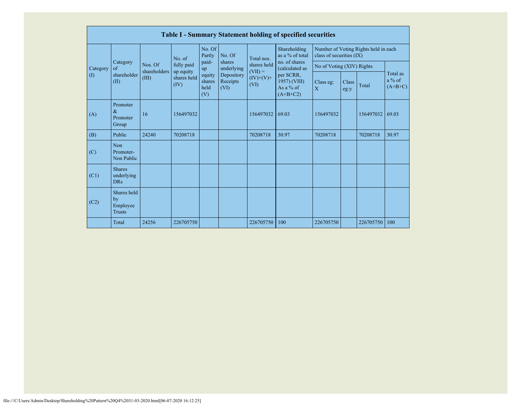|             | Table I - Summary Statement holding of specified securities |                       |                                  |                                 |                                                                                                                                   |                                 |                                                        |                             |                                      |           |                                   |
|-------------|-------------------------------------------------------------|-----------------------|----------------------------------|---------------------------------|-----------------------------------------------------------------------------------------------------------------------------------|---------------------------------|--------------------------------------------------------|-----------------------------|--------------------------------------|-----------|-----------------------------------|
|             |                                                             |                       | No. of                           | No. Of<br>Partly                | No. Of<br>Total nos.<br>shares<br>shares held<br>underlying<br>$(VII) =$<br>Depository<br>$(IV)+(V)+$<br>Receipts<br>(VI)<br>(VI) | Shareholding<br>as a % of total | class of securities (IX)                               |                             | Number of Voting Rights held in each |           |                                   |
| Category    | Category<br>$\alpha$ f                                      | Nos. Of               | fully paid                       | paid-<br>up                     |                                                                                                                                   |                                 | no. of shares<br>(calculated as                        |                             | No of Voting (XIV) Rights            |           |                                   |
| $($ $($ $)$ | shareholder<br>(II)                                         | shareholders<br>(III) | up equity<br>shares held<br>(IV) | equity<br>shares<br>held<br>(V) |                                                                                                                                   |                                 | per SCRR,<br>1957) (VIII)<br>As a $%$ of<br>$(A+B+C2)$ | Class eg:<br>$\overline{X}$ | Class<br>eg:y                        | Total     | Total as<br>$a\%$ of<br>$(A+B+C)$ |
| (A)         | Promoter<br>$\&$<br>Promoter<br>Group                       | 16                    | 156497032                        |                                 |                                                                                                                                   | 156497032                       | 69.03                                                  | 156497032                   |                                      | 156497032 | 69.03                             |
| (B)         | Public                                                      | 24240                 | 70208718                         |                                 |                                                                                                                                   | 70208718                        | 30.97                                                  | 70208718                    |                                      | 70208718  | 30.97                             |
| (C)         | <b>Non</b><br>Promoter-<br>Non Public                       |                       |                                  |                                 |                                                                                                                                   |                                 |                                                        |                             |                                      |           |                                   |
| (C1)        | <b>Shares</b><br>underlying<br><b>DRs</b>                   |                       |                                  |                                 |                                                                                                                                   |                                 |                                                        |                             |                                      |           |                                   |
| (C2)        | Shares held<br>by<br>Employee<br><b>Trusts</b>              |                       |                                  |                                 |                                                                                                                                   |                                 |                                                        |                             |                                      |           |                                   |
|             | Total                                                       | 24256                 | 226705750                        |                                 |                                                                                                                                   | 226705750                       | 100                                                    | 226705750                   |                                      | 226705750 | 100                               |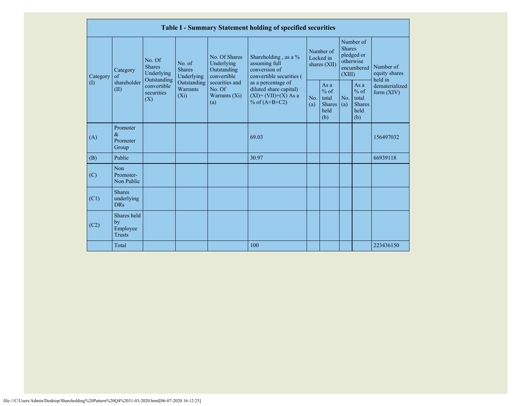|                            | Table I - Summary Statement holding of specified securities |                                                      |                                       |                                                           |                                                                                            |            |                                                         |                                                                               |                                                         |                                       |
|----------------------------|-------------------------------------------------------------|------------------------------------------------------|---------------------------------------|-----------------------------------------------------------|--------------------------------------------------------------------------------------------|------------|---------------------------------------------------------|-------------------------------------------------------------------------------|---------------------------------------------------------|---------------------------------------|
| Category                   | Category<br>of                                              | No. Of<br><b>Shares</b><br>Underlying<br>Outstanding | No. of<br><b>Shares</b><br>Underlying | No. Of Shares<br>Underlying<br>Outstanding<br>convertible | Shareholding, as a %<br>assuming full<br>conversion of<br>convertible securities (         |            | Number of<br>Locked in<br>shares $(XII)$                | Number of<br><b>Shares</b><br>pledged or<br>otherwise<br>encumbered<br>(XIII) |                                                         | Number of<br>equity shares<br>held in |
| $\left( \mathrm{I}\right)$ | shareholder<br>(II)                                         | convertible<br>securities<br>(X)                     | Outstanding<br>Warrants<br>$(X_i)$    | securities and<br>No. Of<br>Warrants (Xi)<br>(a)          | as a percentage of<br>diluted share capital)<br>$(XI) = (VII)+(X) As a$<br>% of $(A+B+C2)$ | No.<br>(a) | As a<br>$%$ of<br>total<br><b>Shares</b><br>held<br>(b) | No.<br>(a)                                                                    | As a<br>$%$ of<br>total<br><b>Shares</b><br>held<br>(b) | dematerialized<br>form $(XIV)$        |
| (A)                        | Promoter<br>$\&$<br>Promoter<br>Group                       |                                                      |                                       |                                                           | 69.03                                                                                      |            |                                                         |                                                                               |                                                         | 156497032                             |
| (B)                        | Public                                                      |                                                      |                                       |                                                           | 30.97                                                                                      |            |                                                         |                                                                               |                                                         | 66939118                              |
| (C)                        | Non<br>Promoter-<br>Non Public                              |                                                      |                                       |                                                           |                                                                                            |            |                                                         |                                                                               |                                                         |                                       |
| (C1)                       | <b>Shares</b><br>underlying<br><b>DRs</b>                   |                                                      |                                       |                                                           |                                                                                            |            |                                                         |                                                                               |                                                         |                                       |
| (C2)                       | Shares held<br>by<br>Employee<br><b>Trusts</b>              |                                                      |                                       |                                                           |                                                                                            |            |                                                         |                                                                               |                                                         |                                       |
|                            | Total                                                       |                                                      |                                       |                                                           | 100                                                                                        |            |                                                         |                                                                               |                                                         | 223436150                             |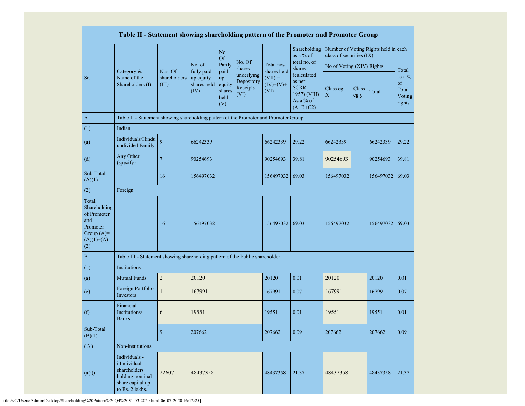|                                                                                                | Table II - Statement showing shareholding pattern of the Promoter and Promoter Group                    |                                  |                                                |                                                |                                              |                                                 |                                                                           |                           |               |                                      |                                              |
|------------------------------------------------------------------------------------------------|---------------------------------------------------------------------------------------------------------|----------------------------------|------------------------------------------------|------------------------------------------------|----------------------------------------------|-------------------------------------------------|---------------------------------------------------------------------------|---------------------------|---------------|--------------------------------------|----------------------------------------------|
|                                                                                                |                                                                                                         |                                  |                                                | No.<br><b>Of</b>                               |                                              |                                                 | Shareholding<br>as a % of                                                 | class of securities (IX)  |               | Number of Voting Rights held in each |                                              |
|                                                                                                |                                                                                                         |                                  | No. of                                         | Partly                                         | No. Of<br>shares                             | Total nos.                                      | total no. of<br>shares                                                    | No of Voting (XIV) Rights |               |                                      | Total                                        |
| Sr.                                                                                            | Category &<br>Name of the<br>Shareholders (I)                                                           | Nos. Of<br>shareholders<br>(III) | fully paid<br>up equity<br>shares held<br>(IV) | paid-<br>up<br>equity<br>shares<br>held<br>(V) | underlying<br>Depository<br>Receipts<br>(VI) | shares held<br>$(VII) =$<br>$(IV)+(V)+$<br>(VI) | (calculated<br>as per<br>SCRR,<br>1957) (VIII)<br>As a % of<br>$(A+B+C2)$ | Class eg:<br>$\mathbf X$  | Class<br>eg:y | Total                                | as a $\%$<br>of<br>Total<br>Voting<br>rights |
| $\boldsymbol{\mathsf{A}}$                                                                      | Table II - Statement showing shareholding pattern of the Promoter and Promoter Group                    |                                  |                                                |                                                |                                              |                                                 |                                                                           |                           |               |                                      |                                              |
| (1)                                                                                            | Indian                                                                                                  |                                  |                                                |                                                |                                              |                                                 |                                                                           |                           |               |                                      |                                              |
| (a)                                                                                            | Individuals/Hindu<br>undivided Family                                                                   | 9                                | 66242339                                       |                                                |                                              | 66242339                                        | 29.22                                                                     | 66242339                  |               | 66242339                             | 29.22                                        |
| (d)                                                                                            | Any Other<br>(specify)                                                                                  | $\overline{7}$                   | 90254693                                       |                                                |                                              | 90254693                                        | 39.81                                                                     | 90254693                  |               | 90254693                             | 39.81                                        |
| Sub-Total<br>(A)(1)                                                                            |                                                                                                         | 16                               | 156497032                                      |                                                |                                              | 156497032                                       | 69.03                                                                     | 156497032                 |               | 156497032                            | 69.03                                        |
| (2)                                                                                            | Foreign                                                                                                 |                                  |                                                |                                                |                                              |                                                 |                                                                           |                           |               |                                      |                                              |
| Total<br>Shareholding<br>of Promoter<br>and<br>Promoter<br>Group $(A)=$<br>$(A)(1)+(A)$<br>(2) |                                                                                                         | 16                               | 156497032                                      |                                                |                                              | 156497032                                       | 69.03                                                                     | 156497032                 |               | 156497032 69.03                      |                                              |
| $\, {\bf B}$                                                                                   | Table III - Statement showing shareholding pattern of the Public shareholder                            |                                  |                                                |                                                |                                              |                                                 |                                                                           |                           |               |                                      |                                              |
| (1)                                                                                            | Institutions                                                                                            |                                  |                                                |                                                |                                              |                                                 |                                                                           |                           |               |                                      |                                              |
| (a)                                                                                            | <b>Mutual Funds</b>                                                                                     | $\overline{c}$                   | 20120                                          |                                                |                                              | 20120                                           | 0.01                                                                      | 20120                     |               | 20120                                | 0.01                                         |
| (e)                                                                                            | Foreign Portfolio<br>Investors                                                                          | 1                                | 167991                                         |                                                |                                              | 167991                                          | 0.07                                                                      | 167991                    |               | 167991                               | 0.07                                         |
| (f)                                                                                            | Financial<br>Institutions/<br><b>Banks</b>                                                              | 6                                | 19551                                          |                                                |                                              | 19551                                           | 0.01                                                                      | 19551                     |               | 19551                                | 0.01                                         |
| Sub-Total<br>(B)(1)                                                                            |                                                                                                         | 9                                | 207662                                         |                                                |                                              | 207662                                          | 0.09                                                                      | 207662                    |               | 207662                               | 0.09                                         |
| (3)                                                                                            | Non-institutions                                                                                        |                                  |                                                |                                                |                                              |                                                 |                                                                           |                           |               |                                      |                                              |
| (a(i))                                                                                         | Individuals -<br>i.Individual<br>shareholders<br>holding nominal<br>share capital up<br>to Rs. 2 lakhs. | 22607                            | 48437358                                       |                                                |                                              | 48437358                                        | 21.37                                                                     | 48437358                  |               | 48437358                             | 21.37                                        |

file:///C/Users/Admin/Desktop/Shareholding%20Pattern%20Q4%2031-03-2020.html[06-07-2020 16:12:25]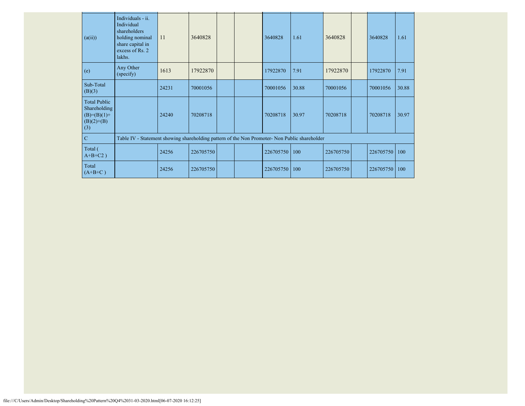| (a(ii))                                                                     | Individuals - ii.<br>Individual<br>shareholders<br>holding nominal<br>share capital in<br>excess of Rs. 2<br>lakhs. | 11    | 3640828   |  | 3640828   | 1.61  | 3640828   | 3640828   | 1.61  |
|-----------------------------------------------------------------------------|---------------------------------------------------------------------------------------------------------------------|-------|-----------|--|-----------|-------|-----------|-----------|-------|
| (e)                                                                         | Any Other<br>(specify)                                                                                              | 1613  | 17922870  |  | 17922870  | 7.91  | 17922870  | 17922870  | 7.91  |
| Sub-Total<br>(B)(3)                                                         |                                                                                                                     | 24231 | 70001056  |  | 70001056  | 30.88 | 70001056  | 70001056  | 30.88 |
| <b>Total Public</b><br>Shareholding<br>$(B)=(B)(1)+$<br>$(B)(2)+(B)$<br>(3) |                                                                                                                     | 24240 | 70208718  |  | 70208718  | 30.97 | 70208718  | 70208718  | 30.97 |
| $\mathbf C$                                                                 | Table IV - Statement showing shareholding pattern of the Non Promoter- Non Public shareholder                       |       |           |  |           |       |           |           |       |
| Total (<br>$A+B+C2$ )                                                       |                                                                                                                     | 24256 | 226705750 |  | 226705750 | 100   | 226705750 | 226705750 | 100   |
| Total<br>$(A+B+C)$                                                          |                                                                                                                     | 24256 | 226705750 |  | 226705750 | 100   | 226705750 | 226705750 | 100   |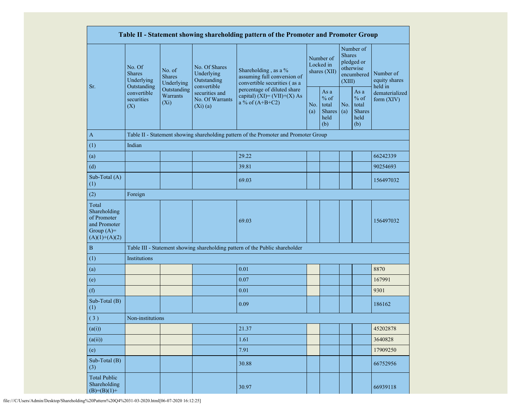|                                                                                         | Table II - Statement showing shareholding pattern of the Promoter and Promoter Group |                                       |                                                           |                                                                                      |            |                                                         |                         |                                                         |                                       |  |
|-----------------------------------------------------------------------------------------|--------------------------------------------------------------------------------------|---------------------------------------|-----------------------------------------------------------|--------------------------------------------------------------------------------------|------------|---------------------------------------------------------|-------------------------|---------------------------------------------------------|---------------------------------------|--|
| Sr.                                                                                     | No. Of<br><b>Shares</b><br>Underlying<br>Outstanding                                 | No. of<br><b>Shares</b><br>Underlying | No. Of Shares<br>Underlying<br>Outstanding<br>convertible | Shareholding, as a %<br>assuming full conversion of<br>convertible securities (as a  |            | Number of<br>Locked in<br>shares (XII)                  | <b>Shares</b><br>(XIII) | Number of<br>pledged or<br>otherwise<br>encumbered      | Number of<br>equity shares<br>held in |  |
|                                                                                         | convertible<br>securities<br>(X)                                                     | Outstanding<br>Warrants<br>$(X_i)$    | securities and<br>No. Of Warrants<br>$(Xi)$ $(a)$         | percentage of diluted share<br>capital) $(XI) = (VII)+(X) As$<br>a % of $(A+B+C2)$   | No.<br>(a) | As a<br>$%$ of<br>total<br><b>Shares</b><br>held<br>(b) | No.<br>(a)              | As a<br>$%$ of<br>total<br><b>Shares</b><br>held<br>(b) | dematerialized<br>form (XIV)          |  |
| $\mathbf{A}$                                                                            |                                                                                      |                                       |                                                           | Table II - Statement showing shareholding pattern of the Promoter and Promoter Group |            |                                                         |                         |                                                         |                                       |  |
| (1)                                                                                     | Indian                                                                               |                                       |                                                           |                                                                                      |            |                                                         |                         |                                                         |                                       |  |
| (a)                                                                                     |                                                                                      |                                       |                                                           | 29.22                                                                                |            |                                                         |                         |                                                         | 66242339                              |  |
| (d)                                                                                     |                                                                                      |                                       |                                                           | 39.81                                                                                |            |                                                         |                         |                                                         | 90254693                              |  |
| Sub-Total (A)<br>(1)                                                                    |                                                                                      |                                       |                                                           | 69.03                                                                                |            |                                                         |                         |                                                         | 156497032                             |  |
| (2)                                                                                     | Foreign                                                                              |                                       |                                                           |                                                                                      |            |                                                         |                         |                                                         |                                       |  |
| Total<br>Shareholding<br>of Promoter<br>and Promoter<br>Group $(A)=$<br>$(A)(1)+(A)(2)$ |                                                                                      |                                       |                                                           | 69.03                                                                                |            |                                                         |                         |                                                         | 156497032                             |  |
| $\, {\bf B}$                                                                            |                                                                                      |                                       |                                                           | Table III - Statement showing shareholding pattern of the Public shareholder         |            |                                                         |                         |                                                         |                                       |  |
| (1)                                                                                     | Institutions                                                                         |                                       |                                                           |                                                                                      |            |                                                         |                         |                                                         |                                       |  |
| (a)                                                                                     |                                                                                      |                                       |                                                           | 0.01                                                                                 |            |                                                         |                         |                                                         | 8870                                  |  |
| (e)                                                                                     |                                                                                      |                                       |                                                           | 0.07                                                                                 |            |                                                         |                         |                                                         | 167991                                |  |
| (f)                                                                                     |                                                                                      |                                       |                                                           | 0.01                                                                                 |            |                                                         |                         |                                                         | 9301                                  |  |
| Sub-Total (B)<br>(1)                                                                    |                                                                                      |                                       |                                                           | 0.09                                                                                 |            |                                                         |                         |                                                         | 186162                                |  |
| (3)                                                                                     | Non-institutions                                                                     |                                       |                                                           |                                                                                      |            |                                                         |                         |                                                         |                                       |  |
| (a(i))                                                                                  |                                                                                      |                                       |                                                           | 21.37                                                                                |            |                                                         |                         |                                                         | 45202878                              |  |
| (a(ii))                                                                                 |                                                                                      |                                       |                                                           | 1.61                                                                                 |            |                                                         |                         |                                                         | 3640828                               |  |
| (e)                                                                                     |                                                                                      |                                       |                                                           | 7.91                                                                                 |            |                                                         |                         |                                                         | 17909250                              |  |
| Sub-Total (B)<br>(3)                                                                    | 30.88                                                                                |                                       |                                                           | 66752956                                                                             |            |                                                         |                         |                                                         |                                       |  |
| <b>Total Public</b><br>Shareholding<br>30.97<br>$(B)= (B)(1) +$                         |                                                                                      |                                       |                                                           | 66939118                                                                             |            |                                                         |                         |                                                         |                                       |  |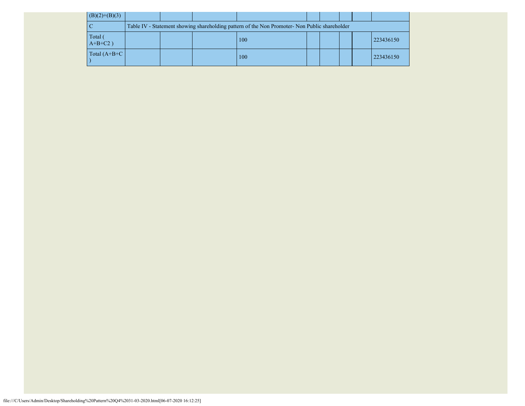| $(B)(2)+(B)(3)$       |  |                                                                                               |  |  |           |
|-----------------------|--|-----------------------------------------------------------------------------------------------|--|--|-----------|
|                       |  | Table IV - Statement showing shareholding pattern of the Non Promoter- Non Public shareholder |  |  |           |
| Total (<br>$A+B+C2$ ) |  | 100                                                                                           |  |  | 223436150 |
| Total $(A+B+C)$       |  | 100                                                                                           |  |  | 223436150 |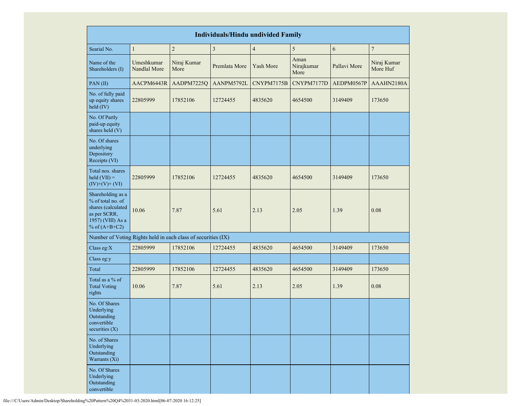| <b>Individuals/Hindu undivided Family</b>                                                                            |                            |                     |                         |                         |                            |              |                         |  |  |
|----------------------------------------------------------------------------------------------------------------------|----------------------------|---------------------|-------------------------|-------------------------|----------------------------|--------------|-------------------------|--|--|
| Searial No.                                                                                                          | $\mathbf{1}$               | $\overline{c}$      | $\overline{\mathbf{3}}$ | $\overline{\mathbf{4}}$ | 5                          | 6            | $\sqrt{ }$              |  |  |
| Name of the<br>Shareholders (I)                                                                                      | Umeshkumar<br>Nandlal More | Niraj Kumar<br>More | Premlata More           | Yash More               | Aman<br>Nirajkumar<br>More | Pallavi More | Niraj Kumar<br>More Huf |  |  |
| PAN(II)                                                                                                              | AACPM6443R                 | AADPM7225Q          | AANPM5792L              | CNYPM7175B              | CNYPM7177D                 | AEDPM0567P   | AAAHN2180A              |  |  |
| No. of fully paid<br>up equity shares<br>held (IV)                                                                   | 22805999                   | 17852106            | 12724455                | 4835620                 | 4654500                    | 3149409      | 173650                  |  |  |
| No. Of Partly<br>paid-up equity<br>shares held (V)                                                                   |                            |                     |                         |                         |                            |              |                         |  |  |
| No. Of shares<br>underlying<br>Depository<br>Receipts (VI)                                                           |                            |                     |                         |                         |                            |              |                         |  |  |
| Total nos. shares<br>$\text{held (VII)} =$<br>$(IV)+(V)+(VI)$                                                        | 22805999                   | 17852106            | 12724455                | 4835620                 | 4654500                    | 3149409      | 173650                  |  |  |
| Shareholding as a<br>% of total no. of<br>shares (calculated<br>as per SCRR,<br>1957) (VIII) As a<br>% of $(A+B+C2)$ | 10.06                      | 7.87                | 5.61                    | 2.13                    | 2.05                       | 1.39         | 0.08                    |  |  |
| Number of Voting Rights held in each class of securities (IX)                                                        |                            |                     |                         |                         |                            |              |                         |  |  |
| Class eg: $X$                                                                                                        | 22805999                   | 17852106            | 12724455                | 4835620                 | 4654500                    | 3149409      | 173650                  |  |  |
| Class eg:y                                                                                                           |                            |                     |                         |                         |                            |              |                         |  |  |
| Total                                                                                                                | 22805999                   | 17852106            | 12724455                | 4835620                 | 4654500                    | 3149409      | 173650                  |  |  |
| Total as a % of<br><b>Total Voting</b><br>rights                                                                     | 10.06                      | 7.87                | 5.61                    | 2.13                    | 2.05                       | 1.39         | 0.08                    |  |  |
| No. Of Shares<br>Underlying<br>Outstanding<br>convertible<br>securities $(X)$                                        |                            |                     |                         |                         |                            |              |                         |  |  |
| No. of Shares<br>Underlying<br>Outstanding<br>Warrants (Xi)                                                          |                            |                     |                         |                         |                            |              |                         |  |  |
| No. Of Shares<br>Underlying<br>Outstanding<br>convertible                                                            |                            |                     |                         |                         |                            |              |                         |  |  |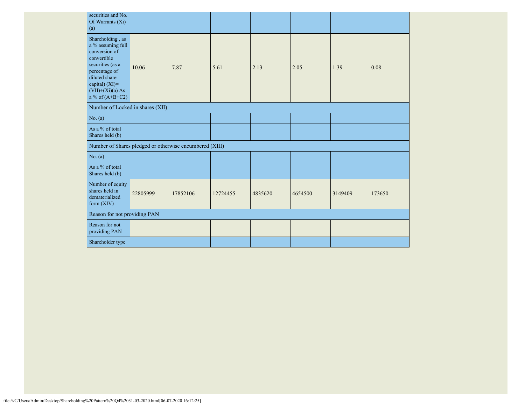| securities and No.<br>Of Warrants (Xi)<br>(a)                                                                                                                                            |          |          |          |         |         |         |        |
|------------------------------------------------------------------------------------------------------------------------------------------------------------------------------------------|----------|----------|----------|---------|---------|---------|--------|
| Shareholding, as<br>a % assuming full<br>conversion of<br>convertible<br>securities (as a<br>percentage of<br>diluted share<br>capital) (XI)=<br>$(VII)+(Xi)(a) As$<br>a % of $(A+B+C2)$ | 10.06    | 7.87     | 5.61     | 2.13    | 2.05    | 1.39    | 0.08   |
| Number of Locked in shares (XII)                                                                                                                                                         |          |          |          |         |         |         |        |
| No. (a)                                                                                                                                                                                  |          |          |          |         |         |         |        |
| As a % of total<br>Shares held (b)                                                                                                                                                       |          |          |          |         |         |         |        |
| Number of Shares pledged or otherwise encumbered (XIII)                                                                                                                                  |          |          |          |         |         |         |        |
| No. (a)                                                                                                                                                                                  |          |          |          |         |         |         |        |
| As a % of total<br>Shares held (b)                                                                                                                                                       |          |          |          |         |         |         |        |
| Number of equity<br>shares held in<br>dematerialized<br>form (XIV)                                                                                                                       | 22805999 | 17852106 | 12724455 | 4835620 | 4654500 | 3149409 | 173650 |
| Reason for not providing PAN                                                                                                                                                             |          |          |          |         |         |         |        |
| Reason for not<br>providing PAN                                                                                                                                                          |          |          |          |         |         |         |        |
| Shareholder type                                                                                                                                                                         |          |          |          |         |         |         |        |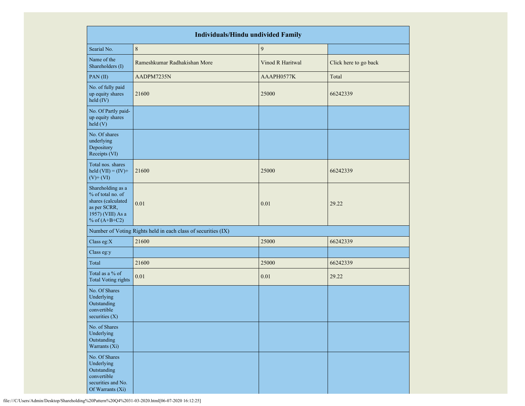| <b>Individuals/Hindu undivided Family</b>                                                                            |                                                               |                  |                       |  |  |  |  |  |  |  |
|----------------------------------------------------------------------------------------------------------------------|---------------------------------------------------------------|------------------|-----------------------|--|--|--|--|--|--|--|
| Searial No.                                                                                                          | $\,8\,$                                                       | 9                |                       |  |  |  |  |  |  |  |
| Name of the<br>Shareholders (I)                                                                                      | Rameshkumar Radhakishan More                                  | Vinod R Haritwal | Click here to go back |  |  |  |  |  |  |  |
| PAN(II)                                                                                                              | AADPM7235N                                                    | AAAPH0577K       | Total                 |  |  |  |  |  |  |  |
| No. of fully paid<br>up equity shares<br>held (IV)                                                                   | 21600                                                         | 25000            | 66242339              |  |  |  |  |  |  |  |
| No. Of Partly paid-<br>up equity shares<br>held (V)                                                                  |                                                               |                  |                       |  |  |  |  |  |  |  |
| No. Of shares<br>underlying<br>Depository<br>Receipts (VI)                                                           |                                                               |                  |                       |  |  |  |  |  |  |  |
| Total nos. shares<br>held $(VII) = (IV) +$<br>$(V)$ + $(VI)$                                                         | 21600                                                         | 25000            | 66242339              |  |  |  |  |  |  |  |
| Shareholding as a<br>% of total no. of<br>shares (calculated<br>as per SCRR,<br>1957) (VIII) As a<br>% of $(A+B+C2)$ | 0.01                                                          | 0.01             | 29.22                 |  |  |  |  |  |  |  |
|                                                                                                                      | Number of Voting Rights held in each class of securities (IX) |                  |                       |  |  |  |  |  |  |  |
| Class eg: $X$                                                                                                        | 21600                                                         | 25000            | 66242339              |  |  |  |  |  |  |  |
| Class eg:y                                                                                                           |                                                               |                  |                       |  |  |  |  |  |  |  |
| Total                                                                                                                | 21600                                                         | 25000            | 66242339              |  |  |  |  |  |  |  |
| Total as a % of<br><b>Total Voting rights</b>                                                                        | 0.01                                                          | 0.01             | 29.22                 |  |  |  |  |  |  |  |
| No. Of Shares<br>Underlying<br>Outstanding<br>convertible<br>securities $(X)$                                        |                                                               |                  |                       |  |  |  |  |  |  |  |
| No. of Shares<br>Underlying<br>Outstanding<br>Warrants (Xi)                                                          |                                                               |                  |                       |  |  |  |  |  |  |  |
| No. Of Shares<br>Underlying<br>Outstanding<br>convertible<br>securities and No.<br>Of Warrants (Xi)                  |                                                               |                  |                       |  |  |  |  |  |  |  |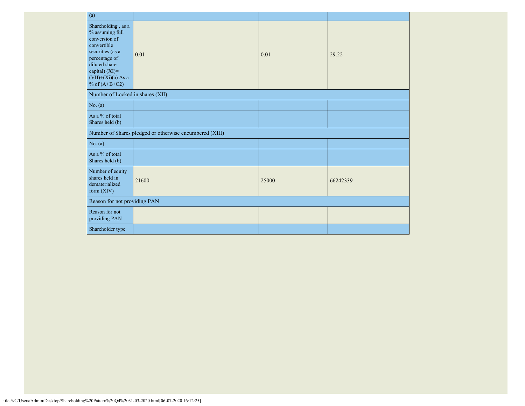| (a)                                                                                                                                                                                      |                                                         |       |          |
|------------------------------------------------------------------------------------------------------------------------------------------------------------------------------------------|---------------------------------------------------------|-------|----------|
| Shareholding, as a<br>% assuming full<br>conversion of<br>convertible<br>securities (as a<br>percentage of<br>diluted share<br>capital) (XI)=<br>$(VII)+(Xi)(a)$ As a<br>% of $(A+B+C2)$ | 0.01                                                    | 0.01  | 29.22    |
| Number of Locked in shares (XII)                                                                                                                                                         |                                                         |       |          |
| No. (a)                                                                                                                                                                                  |                                                         |       |          |
| As a % of total<br>Shares held (b)                                                                                                                                                       |                                                         |       |          |
|                                                                                                                                                                                          | Number of Shares pledged or otherwise encumbered (XIII) |       |          |
| No. (a)                                                                                                                                                                                  |                                                         |       |          |
| As a % of total<br>Shares held (b)                                                                                                                                                       |                                                         |       |          |
| Number of equity<br>shares held in<br>dematerialized<br>form $(XIV)$                                                                                                                     | 21600                                                   | 25000 | 66242339 |
| Reason for not providing PAN                                                                                                                                                             |                                                         |       |          |
| Reason for not<br>providing PAN                                                                                                                                                          |                                                         |       |          |
| Shareholder type                                                                                                                                                                         |                                                         |       |          |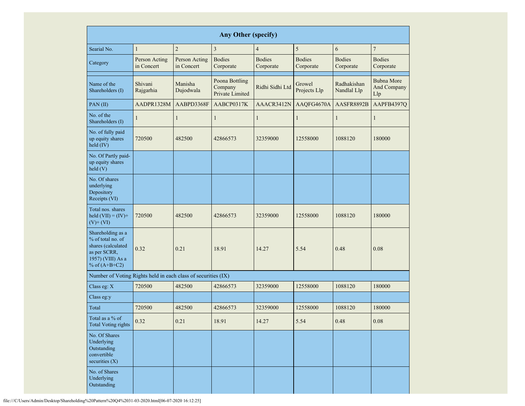|                                                                                                                      | <b>Any Other (specify)</b>                                 |                                                                      |                                                          |                 |                                                      |                            |                                  |  |  |  |  |  |  |
|----------------------------------------------------------------------------------------------------------------------|------------------------------------------------------------|----------------------------------------------------------------------|----------------------------------------------------------|-----------------|------------------------------------------------------|----------------------------|----------------------------------|--|--|--|--|--|--|
| Searial No.                                                                                                          | $\mathbf{1}$                                               | $\overline{2}$                                                       | $\overline{3}$                                           | $\overline{4}$  | 5                                                    | 6                          | $\overline{7}$                   |  |  |  |  |  |  |
| Category                                                                                                             | Person Acting<br>Person Acting<br>in Concert<br>in Concert |                                                                      | <b>Bodies</b><br><b>Bodies</b><br>Corporate<br>Corporate |                 | <b>Bodies</b><br>Corporate                           | <b>Bodies</b><br>Corporate | <b>Bodies</b><br>Corporate       |  |  |  |  |  |  |
| Name of the<br>Shareholders (I)                                                                                      | Shivani<br>Rajgarhia                                       | Poona Bottling<br>Manisha<br>Company<br>Dujodwala<br>Private Limited |                                                          | Ridhi Sidhi Ltd | Radhakishan<br>Growel<br>Projects Llp<br>Nandlal Llp |                            | Bubna More<br>And Company<br>Llp |  |  |  |  |  |  |
| PAN(II)                                                                                                              | AADPR1328M                                                 | AABPD3368F                                                           | AABCP0317K                                               | AAACR3412N      | AAQFG4670A                                           | AASFR8892B                 | AAPFB4397Q                       |  |  |  |  |  |  |
| No. of the<br>Shareholders (I)                                                                                       | 1                                                          | 1                                                                    | $\mathbf{1}$                                             | 1               | $\mathbf{1}$                                         | 1                          | 1                                |  |  |  |  |  |  |
| No. of fully paid<br>up equity shares<br>held (IV)                                                                   | 720500                                                     | 482500                                                               | 42866573                                                 | 32359000        | 12558000                                             | 1088120                    | 180000                           |  |  |  |  |  |  |
| No. Of Partly paid-<br>up equity shares<br>held(V)                                                                   |                                                            |                                                                      |                                                          |                 |                                                      |                            |                                  |  |  |  |  |  |  |
| No. Of shares<br>underlying<br>Depository<br>Receipts (VI)                                                           |                                                            |                                                                      |                                                          |                 |                                                      |                            |                                  |  |  |  |  |  |  |
| Total nos. shares<br>held $(VII) = (IV) +$<br>$(V)$ + $(VI)$                                                         | 482500<br>720500                                           |                                                                      | 42866573                                                 | 32359000        | 12558000                                             | 1088120                    | 180000                           |  |  |  |  |  |  |
| Shareholding as a<br>% of total no. of<br>shares (calculated<br>as per SCRR,<br>1957) (VIII) As a<br>% of $(A+B+C2)$ | 0.32                                                       | 0.21                                                                 | 18.91<br>14.27                                           |                 | 5.54                                                 | 0.48                       | 0.08                             |  |  |  |  |  |  |
| Number of Voting Rights held in each class of securities (IX)                                                        |                                                            |                                                                      |                                                          |                 |                                                      |                            |                                  |  |  |  |  |  |  |
| Class eg: X                                                                                                          | 720500                                                     | 482500                                                               | 42866573                                                 | 32359000        | 12558000                                             | 1088120                    | 180000                           |  |  |  |  |  |  |
| Class eg:y                                                                                                           |                                                            |                                                                      |                                                          |                 |                                                      |                            |                                  |  |  |  |  |  |  |
| Total                                                                                                                | 720500                                                     | 482500                                                               | 42866573                                                 | 32359000        | 12558000                                             | 1088120                    | 180000                           |  |  |  |  |  |  |
| Total as a % of<br><b>Total Voting rights</b>                                                                        | 0.32                                                       | 0.21                                                                 | 18.91                                                    | 14.27           | 5.54                                                 | 0.48                       | $0.08\,$                         |  |  |  |  |  |  |
| No. Of Shares<br>Underlying<br>Outstanding<br>convertible<br>securities (X)                                          |                                                            |                                                                      |                                                          |                 |                                                      |                            |                                  |  |  |  |  |  |  |
| No. of Shares<br>Underlying<br>Outstanding                                                                           |                                                            |                                                                      |                                                          |                 |                                                      |                            |                                  |  |  |  |  |  |  |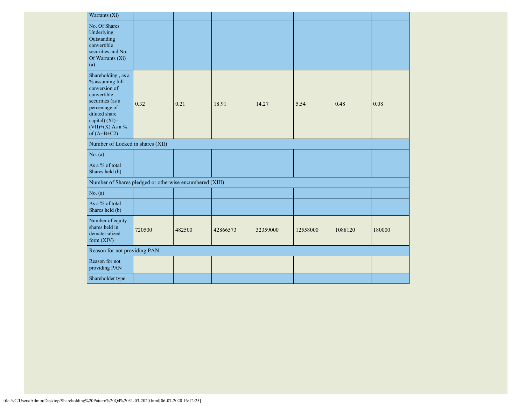| Warrants (Xi)                                                                                                                                                                              |        |               |          |          |          |         |        |  |
|--------------------------------------------------------------------------------------------------------------------------------------------------------------------------------------------|--------|---------------|----------|----------|----------|---------|--------|--|
| No. Of Shares<br>Underlying<br>Outstanding<br>convertible<br>securities and No.<br>Of Warrants (Xi)<br>(a)                                                                                 |        |               |          |          |          |         |        |  |
| Shareholding, as a<br>% assuming full<br>conversion of<br>convertible<br>securities (as a<br>0.32<br>percentage of<br>diluted share<br>capital) (XI)=<br>(VII)+(X) As a %<br>of $(A+B+C2)$ |        | 0.21<br>18.91 |          | 14.27    | 5.54     | 0.48    | 0.08   |  |
| Number of Locked in shares (XII)                                                                                                                                                           |        |               |          |          |          |         |        |  |
| No. (a)                                                                                                                                                                                    |        |               |          |          |          |         |        |  |
| As a % of total<br>Shares held (b)                                                                                                                                                         |        |               |          |          |          |         |        |  |
| Number of Shares pledged or otherwise encumbered (XIII)                                                                                                                                    |        |               |          |          |          |         |        |  |
| No. (a)                                                                                                                                                                                    |        |               |          |          |          |         |        |  |
| As a % of total<br>Shares held (b)                                                                                                                                                         |        |               |          |          |          |         |        |  |
| Number of equity<br>shares held in<br>dematerialized<br>form $(XIV)$                                                                                                                       | 720500 | 482500        | 42866573 | 32359000 | 12558000 | 1088120 | 180000 |  |
| Reason for not providing PAN                                                                                                                                                               |        |               |          |          |          |         |        |  |
| Reason for not<br>providing PAN                                                                                                                                                            |        |               |          |          |          |         |        |  |
| Shareholder type                                                                                                                                                                           |        |               |          |          |          |         |        |  |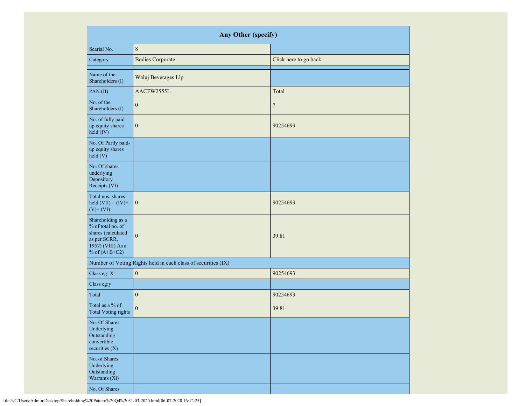| Any Other (specify)                                                                                                  |                                                               |                       |  |  |  |  |  |  |  |
|----------------------------------------------------------------------------------------------------------------------|---------------------------------------------------------------|-----------------------|--|--|--|--|--|--|--|
| Searial No.                                                                                                          | $\,8\,$                                                       |                       |  |  |  |  |  |  |  |
| Category                                                                                                             | <b>Bodies Corporate</b>                                       | Click here to go back |  |  |  |  |  |  |  |
| Name of the<br>Shareholders (I)                                                                                      | Waluj Beverages Llp                                           |                       |  |  |  |  |  |  |  |
| PAN(II)                                                                                                              | AACFW2555L                                                    | Total                 |  |  |  |  |  |  |  |
| No. of the<br>Shareholders (I)                                                                                       | $\boldsymbol{0}$                                              | $\overline{7}$        |  |  |  |  |  |  |  |
| No. of fully paid<br>up equity shares<br>held (IV)                                                                   | $\boldsymbol{0}$                                              | 90254693              |  |  |  |  |  |  |  |
| No. Of Partly paid-<br>up equity shares<br>held(V)                                                                   |                                                               |                       |  |  |  |  |  |  |  |
| No. Of shares<br>underlying<br>Depository<br>Receipts (VI)                                                           |                                                               |                       |  |  |  |  |  |  |  |
| Total nos. shares<br>held $(VII) = (IV) +$<br>$(V)$ + $(VI)$                                                         | $\boldsymbol{0}$                                              | 90254693              |  |  |  |  |  |  |  |
| Shareholding as a<br>% of total no. of<br>shares (calculated<br>as per SCRR,<br>1957) (VIII) As a<br>% of $(A+B+C2)$ | $\mathbf{0}$                                                  | 39.81                 |  |  |  |  |  |  |  |
|                                                                                                                      | Number of Voting Rights held in each class of securities (IX) |                       |  |  |  |  |  |  |  |
| Class eg: X                                                                                                          | $\boldsymbol{0}$                                              | 90254693              |  |  |  |  |  |  |  |
| Class eg:y                                                                                                           |                                                               |                       |  |  |  |  |  |  |  |
| Total                                                                                                                | $\boldsymbol{0}$                                              | 90254693              |  |  |  |  |  |  |  |
| Total as a % of<br><b>Total Voting rights</b>                                                                        | $\boldsymbol{0}$                                              | 39.81                 |  |  |  |  |  |  |  |
| No. Of Shares<br>Underlying<br>Outstanding<br>convertible<br>securities (X)                                          |                                                               |                       |  |  |  |  |  |  |  |
| No. of Shares<br>Underlying<br>Outstanding<br>Warrants (Xi)                                                          |                                                               |                       |  |  |  |  |  |  |  |
| No. Of Shares                                                                                                        |                                                               |                       |  |  |  |  |  |  |  |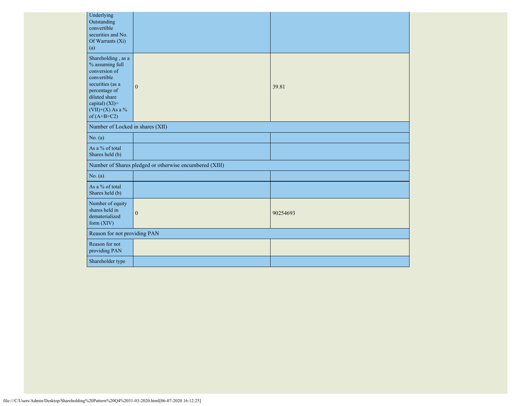| Underlying<br>Outstanding<br>convertible<br>securities and No.<br>Of Warrants (Xi)<br>(a)                                                                                             |                                                         |          |
|---------------------------------------------------------------------------------------------------------------------------------------------------------------------------------------|---------------------------------------------------------|----------|
| Shareholding, as a<br>$\%$ assuming full<br>conversion of<br>convertible<br>securities (as a<br>percentage of<br>diluted share<br>capital) (XI)=<br>(VII)+(X) As a %<br>of $(A+B+C2)$ | $\mathbf{0}$                                            | 39.81    |
| Number of Locked in shares (XII)                                                                                                                                                      |                                                         |          |
| No. (a)                                                                                                                                                                               |                                                         |          |
| As a % of total<br>Shares held (b)                                                                                                                                                    |                                                         |          |
|                                                                                                                                                                                       | Number of Shares pledged or otherwise encumbered (XIII) |          |
| No. $(a)$                                                                                                                                                                             |                                                         |          |
| As a % of total<br>Shares held (b)                                                                                                                                                    |                                                         |          |
| Number of equity<br>shares held in<br>dematerialized<br>form $(XIV)$                                                                                                                  | $\mathbf{0}$                                            | 90254693 |
| Reason for not providing PAN                                                                                                                                                          |                                                         |          |
| Reason for not<br>providing PAN                                                                                                                                                       |                                                         |          |
| Shareholder type                                                                                                                                                                      |                                                         |          |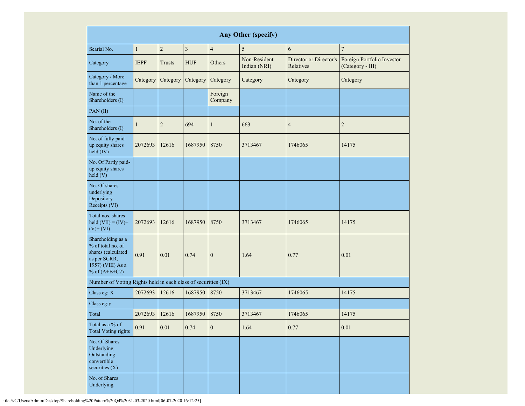| Any Other (specify)                                                                                                  |                              |                |            |                    |                              |                                     |                                                |  |  |  |  |
|----------------------------------------------------------------------------------------------------------------------|------------------------------|----------------|------------|--------------------|------------------------------|-------------------------------------|------------------------------------------------|--|--|--|--|
| Searial No.                                                                                                          | $\mathbf{1}$                 | $\overline{c}$ | 3          | $\overline{4}$     | 5                            | 6                                   | $\overline{7}$                                 |  |  |  |  |
| Category                                                                                                             | <b>IEPF</b><br><b>Trusts</b> |                | <b>HUF</b> | Others             | Non-Resident<br>Indian (NRI) | Director or Director's<br>Relatives | Foreign Portfolio Investor<br>(Category - III) |  |  |  |  |
| Category / More<br>than 1 percentage                                                                                 | Category                     | Category       | Category   | Category           | Category                     | Category                            | Category                                       |  |  |  |  |
| Name of the<br>Shareholders (I)                                                                                      |                              |                |            | Foreign<br>Company |                              |                                     |                                                |  |  |  |  |
| PAN(II)                                                                                                              |                              |                |            |                    |                              |                                     |                                                |  |  |  |  |
| No. of the<br>Shareholders (I)                                                                                       | $\mathbf{1}$                 | $\overline{c}$ | 694        | $\mathbf{1}$       | 663                          | $\overline{4}$                      | $\overline{2}$                                 |  |  |  |  |
| No. of fully paid<br>up equity shares<br>held (IV)                                                                   | 2072693                      | 12616          | 1687950    | 8750               | 3713467<br>1746065           |                                     | 14175                                          |  |  |  |  |
| No. Of Partly paid-<br>up equity shares<br>held(V)                                                                   |                              |                |            |                    |                              |                                     |                                                |  |  |  |  |
| No. Of shares<br>underlying<br>Depository<br>Receipts (VI)                                                           |                              |                |            |                    |                              |                                     |                                                |  |  |  |  |
| Total nos. shares<br>held $(VII) = (IV) +$<br>$(V)$ + $(VI)$                                                         | 2072693                      | 12616          | 1687950    | 8750               | 3713467                      | 1746065                             | 14175                                          |  |  |  |  |
| Shareholding as a<br>% of total no. of<br>shares (calculated<br>as per SCRR,<br>1957) (VIII) As a<br>% of $(A+B+C2)$ | 0.91                         | 0.01           | 0.74       | $\boldsymbol{0}$   | 1.64                         | 0.77                                | 0.01                                           |  |  |  |  |
| Number of Voting Rights held in each class of securities (IX)                                                        |                              |                |            |                    |                              |                                     |                                                |  |  |  |  |
| Class eg: X                                                                                                          | 2072693                      | 12616          | 1687950    | 8750               | 3713467                      | 1746065                             | 14175                                          |  |  |  |  |
| Class eg:y                                                                                                           |                              |                |            |                    |                              |                                     |                                                |  |  |  |  |
| Total                                                                                                                | 2072693                      | 12616          | 1687950    | 8750               | 3713467                      | 1746065                             | 14175                                          |  |  |  |  |
| Total as a $\%$ of<br><b>Total Voting rights</b>                                                                     | 0.91                         | $0.01\,$       | 0.74       | $\boldsymbol{0}$   | 1.64                         | 0.77                                | 0.01                                           |  |  |  |  |
| No. Of Shares<br>Underlying<br>Outstanding<br>convertible<br>securities (X)                                          |                              |                |            |                    |                              |                                     |                                                |  |  |  |  |
| No. of Shares<br>Underlying                                                                                          |                              |                |            |                    |                              |                                     |                                                |  |  |  |  |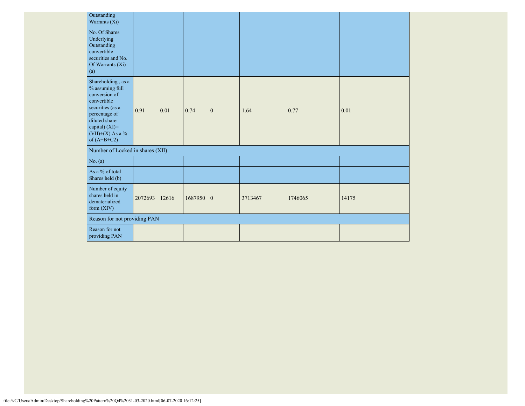| Outstanding<br>Warrants (Xi)                                                                                                                                                          |         |       |           |              |         |         |       |
|---------------------------------------------------------------------------------------------------------------------------------------------------------------------------------------|---------|-------|-----------|--------------|---------|---------|-------|
| No. Of Shares<br>Underlying<br>Outstanding<br>convertible<br>securities and No.<br>Of Warrants (Xi)<br>(a)                                                                            |         |       |           |              |         |         |       |
| Shareholding, as a<br>$\%$ assuming full<br>conversion of<br>convertible<br>securities (as a<br>percentage of<br>diluted share<br>capital) (XI)=<br>(VII)+(X) As a %<br>of $(A+B+C2)$ | 0.91    | 0.01  | 0.74      | $\mathbf{0}$ | 1.64    | 0.77    | 0.01  |
| Number of Locked in shares (XII)                                                                                                                                                      |         |       |           |              |         |         |       |
| No. (a)                                                                                                                                                                               |         |       |           |              |         |         |       |
| As a % of total<br>Shares held (b)                                                                                                                                                    |         |       |           |              |         |         |       |
| Number of equity<br>shares held in<br>dematerialized<br>form $(XIV)$                                                                                                                  | 2072693 | 12616 | 1687950 0 |              | 3713467 | 1746065 | 14175 |
| Reason for not providing PAN                                                                                                                                                          |         |       |           |              |         |         |       |
| Reason for not<br>providing PAN                                                                                                                                                       |         |       |           |              |         |         |       |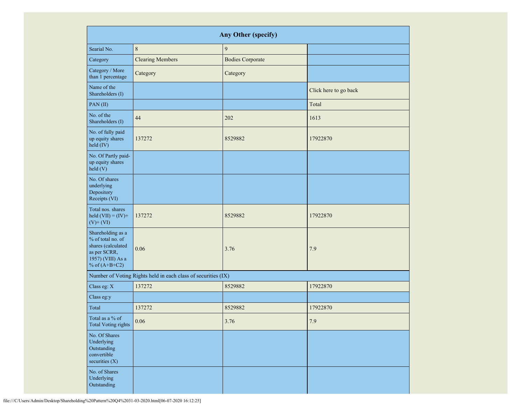| Any Other (specify)                                                                                                  |                                                               |                         |                       |  |  |  |  |  |  |  |  |
|----------------------------------------------------------------------------------------------------------------------|---------------------------------------------------------------|-------------------------|-----------------------|--|--|--|--|--|--|--|--|
| Searial No.                                                                                                          | 8                                                             | $\overline{9}$          |                       |  |  |  |  |  |  |  |  |
| Category                                                                                                             | <b>Clearing Members</b>                                       | <b>Bodies Corporate</b> |                       |  |  |  |  |  |  |  |  |
| Category / More<br>than 1 percentage                                                                                 | Category                                                      | Category                |                       |  |  |  |  |  |  |  |  |
| Name of the<br>Shareholders (I)                                                                                      |                                                               |                         | Click here to go back |  |  |  |  |  |  |  |  |
| PAN(II)                                                                                                              |                                                               |                         | Total                 |  |  |  |  |  |  |  |  |
| No. of the<br>Shareholders (I)                                                                                       | 44                                                            | 202                     | 1613                  |  |  |  |  |  |  |  |  |
| No. of fully paid<br>up equity shares<br>held (IV)                                                                   | 137272                                                        | 8529882                 | 17922870              |  |  |  |  |  |  |  |  |
| No. Of Partly paid-<br>up equity shares<br>held(V)                                                                   |                                                               |                         |                       |  |  |  |  |  |  |  |  |
| No. Of shares<br>underlying<br>Depository<br>Receipts (VI)                                                           |                                                               |                         |                       |  |  |  |  |  |  |  |  |
| Total nos. shares<br>held $(VII) = (IV) +$<br>$(V)$ + $(VI)$                                                         | 137272                                                        | 8529882                 | 17922870              |  |  |  |  |  |  |  |  |
| Shareholding as a<br>% of total no. of<br>shares (calculated<br>as per SCRR,<br>1957) (VIII) As a<br>% of $(A+B+C2)$ | 0.06                                                          | 3.76                    | 7.9                   |  |  |  |  |  |  |  |  |
|                                                                                                                      | Number of Voting Rights held in each class of securities (IX) |                         |                       |  |  |  |  |  |  |  |  |
| Class eg: X                                                                                                          | 137272                                                        | 8529882                 | 17922870              |  |  |  |  |  |  |  |  |
| Class eg:y                                                                                                           |                                                               |                         |                       |  |  |  |  |  |  |  |  |
| Total                                                                                                                | 137272                                                        | 8529882                 | 17922870              |  |  |  |  |  |  |  |  |
| Total as a % of<br><b>Total Voting rights</b>                                                                        | $0.06\,$                                                      | 3.76                    | $7.9\,$               |  |  |  |  |  |  |  |  |
| No. Of Shares<br>Underlying<br>Outstanding<br>convertible<br>securities (X)                                          |                                                               |                         |                       |  |  |  |  |  |  |  |  |
| No. of Shares<br>Underlying<br>Outstanding                                                                           |                                                               |                         |                       |  |  |  |  |  |  |  |  |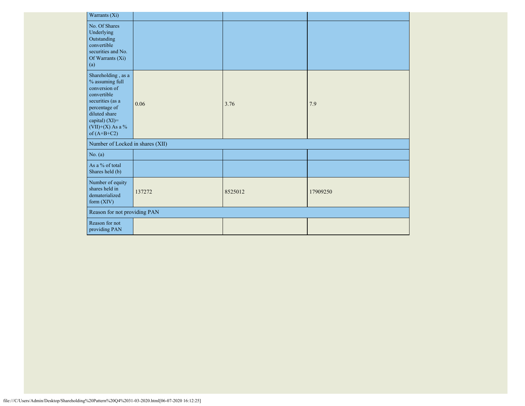| Warrants (Xi)                                                                                                                                                                         |        |         |          |  |  |  |  |  |  |  |
|---------------------------------------------------------------------------------------------------------------------------------------------------------------------------------------|--------|---------|----------|--|--|--|--|--|--|--|
| No. Of Shares<br>Underlying<br>Outstanding<br>convertible<br>securities and No.<br>Of Warrants (Xi)<br>(a)                                                                            |        |         |          |  |  |  |  |  |  |  |
| Shareholding, as a<br>$\%$ assuming full<br>conversion of<br>convertible<br>securities (as a<br>percentage of<br>diluted share<br>capital) (XI)=<br>(VII)+(X) As a %<br>of $(A+B+C2)$ | 0.06   | 3.76    | 7.9      |  |  |  |  |  |  |  |
| Number of Locked in shares (XII)                                                                                                                                                      |        |         |          |  |  |  |  |  |  |  |
| No. (a)                                                                                                                                                                               |        |         |          |  |  |  |  |  |  |  |
| As a % of total<br>Shares held (b)                                                                                                                                                    |        |         |          |  |  |  |  |  |  |  |
| Number of equity<br>shares held in<br>dematerialized<br>form (XIV)                                                                                                                    | 137272 | 8525012 | 17909250 |  |  |  |  |  |  |  |
| Reason for not providing PAN                                                                                                                                                          |        |         |          |  |  |  |  |  |  |  |
| Reason for not<br>providing PAN                                                                                                                                                       |        |         |          |  |  |  |  |  |  |  |